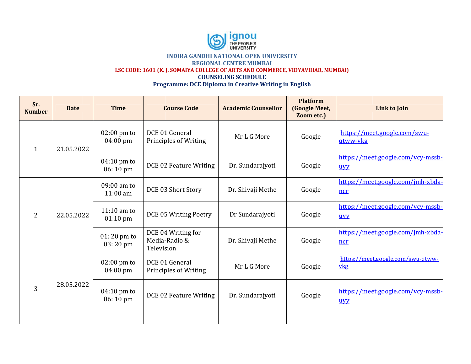

| Sr.<br><b>Number</b> | <b>Date</b> | <b>Time</b>                                 | <b>Course Code</b>                                | <b>Academic Counsellor</b> | <b>Platform</b><br><b>(Google Meet,</b><br>Zoom etc.) | Link to Join                             |
|----------------------|-------------|---------------------------------------------|---------------------------------------------------|----------------------------|-------------------------------------------------------|------------------------------------------|
| $\mathbf{1}$         | 21.05.2022  | $02:00$ pm to<br>04:00 pm                   | DCE 01 General<br>Principles of Writing           | Mr L G More                | Google                                                | https://meet.google.com/swu-<br>gtww-ykg |
|                      |             | $04:10 \text{ pm}$ to<br>06:10 pm           | DCE 02 Feature Writing                            | Dr. Sundarajyoti           | Google                                                | https://meet.google.com/vcy-mssb-<br>uvy |
| 2                    | 22.05.2022  | 09:00 am to<br>$11:00$ am                   | DCE 03 Short Story                                | Dr. Shivaji Methe          | Google                                                | https://meet.google.com/jmh-xbda-<br>ncr |
|                      |             | $11:10$ am to<br>$01:10 \text{ pm}$         | DCE 05 Writing Poetry                             | Dr Sundarajyoti            | Google                                                | https://meet.google.com/vcy-mssb-<br>uvv |
|                      |             | $01:20$ pm to<br>03:20 pm                   | DCE 04 Writing for<br>Media-Radio &<br>Television | Dr. Shivaji Methe          | Google                                                | https://meet.google.com/jmh-xbda-<br>ncr |
| 3                    | 28.05.2022  | $02:00 \text{ pm}$ to<br>$04:00 \text{ pm}$ | DCE 01 General<br><b>Principles of Writing</b>    | Mr L G More                | Google                                                | https://meet.google.com/swu-qtww-<br>ykg |
|                      |             | $04:10 \text{ pm}$ to<br>06:10 pm           | DCE 02 Feature Writing                            | Dr. Sundarajyoti           | Google                                                | https://meet.google.com/vcy-mssb-<br>uyy |
|                      |             |                                             |                                                   |                            |                                                       |                                          |